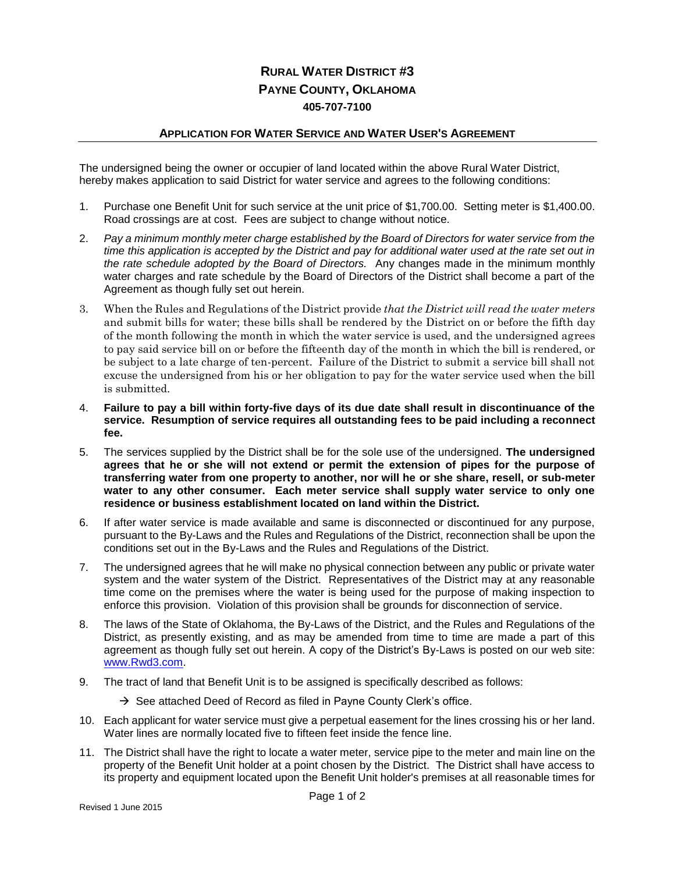## **RURAL WATER DISTRICT #3 PAYNE COUNTY, OKLAHOMA 405-707-7100**

## **APPLICATION FOR WATER SERVICE AND WATER USER'S AGREEMENT**

The undersigned being the owner or occupier of land located within the above Rural Water District, hereby makes application to said District for water service and agrees to the following conditions:

- 1. Purchase one Benefit Unit for such service at the unit price of \$1,700.00. Setting meter is \$1,400.00. Road crossings are at cost. Fees are subject to change without notice.
- 2. *Pay a minimum monthly meter charge established by the Board of Directors for water service from the time this application is accepted by the District and pay for additional water used at the rate set out in the rate schedule adopted by the Board of Directors.* Any changes made in the minimum monthly water charges and rate schedule by the Board of Directors of the District shall become a part of the Agreement as though fully set out herein.
- 3. When the Rules and Regulations of the District provide *that the District will read the water meters* and submit bills for water; these bills shall be rendered by the District on or before the fifth day of the month following the month in which the water service is used, and the undersigned agrees to pay said service bill on or before the fifteenth day of the month in which the bill is rendered, or be subject to a late charge of ten-percent. Failure of the District to submit a service bill shall not excuse the undersigned from his or her obligation to pay for the water service used when the bill is submitted.
- 4. **Failure to pay a bill within forty-five days of its due date shall result in discontinuance of the service. Resumption of service requires all outstanding fees to be paid including a reconnect fee.**
- 5. The services supplied by the District shall be for the sole use of the undersigned. **The undersigned agrees that he or she will not extend or permit the extension of pipes for the purpose of transferring water from one property to another, nor will he or she share, resell, or sub-meter water to any other consumer. Each meter service shall supply water service to only one residence or business establishment located on land within the District.**
- 6. If after water service is made available and same is disconnected or discontinued for any purpose, pursuant to the By-Laws and the Rules and Regulations of the District, reconnection shall be upon the conditions set out in the By-Laws and the Rules and Regulations of the District.
- 7. The undersigned agrees that he will make no physical connection between any public or private water system and the water system of the District. Representatives of the District may at any reasonable time come on the premises where the water is being used for the purpose of making inspection to enforce this provision. Violation of this provision shall be grounds for disconnection of service.
- 8. The laws of the State of Oklahoma, the By-Laws of the District, and the Rules and Regulations of the District, as presently existing, and as may be amended from time to time are made a part of this agreement as though fully set out herein. A copy of the District's By-Laws is posted on our web site: [www.Rwd3.com.](http://www.rwd3.com/)
- 9. The tract of land that Benefit Unit is to be assigned is specifically described as follows:
	- $\rightarrow$  See attached Deed of Record as filed in Payne County Clerk's office.
- 10. Each applicant for water service must give a perpetual easement for the lines crossing his or her land. Water lines are normally located five to fifteen feet inside the fence line.
- 11. The District shall have the right to locate a water meter, service pipe to the meter and main line on the property of the Benefit Unit holder at a point chosen by the District. The District shall have access to its property and equipment located upon the Benefit Unit holder's premises at all reasonable times for